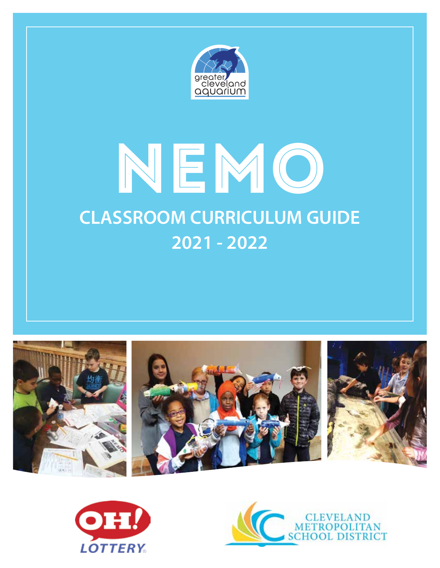

# NEMO **CLASSROOM CURRICULUM GUIDE 2021 - 2022**





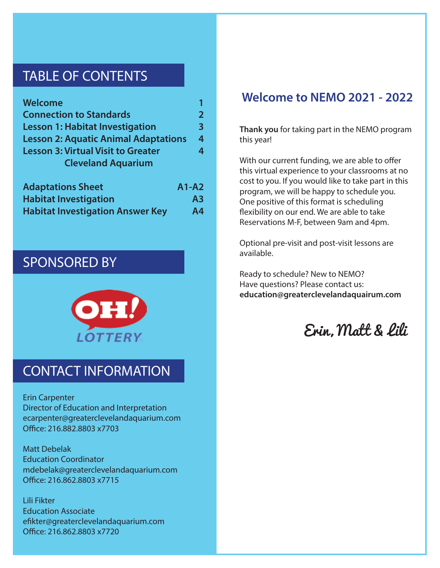# TABLE OF CONTENTS

| Welcome                                     |              |  |  |  |
|---------------------------------------------|--------------|--|--|--|
| <b>Connection to Standards</b>              | $\mathbf{2}$ |  |  |  |
| <b>Lesson 1: Habitat Investigation</b>      | 3            |  |  |  |
| <b>Lesson 2: Aquatic Animal Adaptations</b> |              |  |  |  |
| <b>Lesson 3: Virtual Visit to Greater</b>   | 4            |  |  |  |
| <b>Cleveland Aquarium</b>                   |              |  |  |  |
| <b>Adaptations Sheet</b>                    | $A1-A2$      |  |  |  |
| Habitat Investigation                       | Δ3           |  |  |  |

| <b>Habitat Investigation</b>            | A <sub>3</sub> |
|-----------------------------------------|----------------|
| <b>Habitat Investigation Answer Key</b> | A <sub>4</sub> |

# SPONSORED BY



# CONTACT INFORMATION

Erin Carpenter Director of Education and Interpretation ecarpenter@greaterclevelandaquarium.com Office: 216.882.8803 x7703

Matt Debelak Education Coordinator mdebelak@greaterclevelandaquarium.com Office: 216.862.8803 x7715

Lili Fikter Education Associate efikter@greaterclevelandaquarium.com Office: 216.862.8803 x7720

## **Welcome to NEMO 2021 - 2022**

**Thank you** for taking part in the NEMO program this year!

With our current funding, we are able to offer this virtual experience to your classrooms at no cost to you. If you would like to take part in this program, we will be happy to schedule you. One positive of this format is scheduling flexibility on our end. We are able to take Reservations M-F, between 9am and 4pm.

Optional pre-visit and post-visit lessons are available.

Ready to schedule? New to NEMO? Have questions? Please contact us: **education@greaterclevelandaquairum.com**

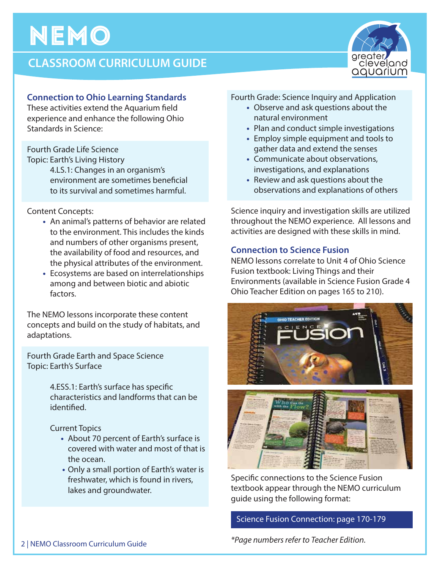# **CLASSROOM CURRICULUM GUIDE**



These activities extend the Aquarium field experience and enhance the following Ohio Standards in Science:

Fourth Grade Life Science

Topic: Earth's Living History

 4.LS.1: Changes in an organism's environment are sometimes beneficial to its survival and sometimes harmful.

Content Concepts:

- An animal's patterns of behavior are related to the environment. This includes the kinds and numbers of other organisms present, the availability of food and resources, and the physical attributes of the environment.
- Ecosystems are based on interrelationships among and between biotic and abiotic factors.

The NEMO lessons incorporate these content concepts and build on the study of habitats, and adaptations.

Fourth Grade Earth and Space Science Topic: Earth's Surface

> 4.ESS.1: Earth's surface has specific characteristics and landforms that can be identified.

Current Topics

- About 70 percent of Earth's surface is covered with water and most of that is the ocean.
- Only a small portion of Earth's water is freshwater, which is found in rivers, lakes and groundwater.

Fourth Grade: Science Inquiry and Application

- Observe and ask questions about the natural environment
- Plan and conduct simple investigations
- Employ simple equipment and tools to gather data and extend the senses
- Communicate about observations, investigations, and explanations
- Review and ask questions about the observations and explanations of others

Science inquiry and investigation skills are utilized throughout the NEMO experience. All lessons and activities are designed with these skills in mind.

### **Connection to Science Fusion**

NEMO lessons correlate to Unit 4 of Ohio Science Fusion textbook: Living Things and their Environments (available in Science Fusion Grade 4 Ohio Teacher Edition on pages 165 to 210).



Specific connections to the Science Fusion textbook appear through the NEMO curriculum guide using the following format:

### Science Fusion Connection: page 170-179



*\*Page numbers refer to Teacher Edition.*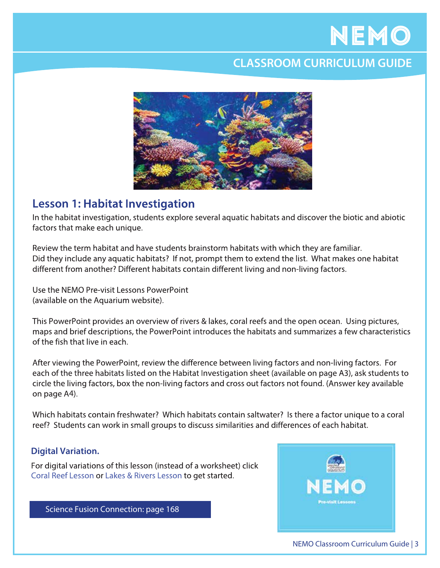# **CLASSROOM CURRICULUM GUIDE**



### **Lesson 1: Habitat Investigation**

In the habitat investigation, students explore several aquatic habitats and discover the biotic and abiotic factors that make each unique.

Review the term habitat and have students brainstorm habitats with which they are familiar. Did they include any aquatic habitats? If not, prompt them to extend the list. What makes one habitat different from another? Different habitats contain different living and non-living factors.

Use the NFMO Pre-visit Lessons PowerPoint (available on the Aquarium website).

This PowerPoint provides an overview of rivers & lakes, coral reefs and the open ocean. Using pictures, maps and brief descriptions, the PowerPoint introduces the habitats and summarizes a few characteristics of the fish that live in each.

After viewing the PowerPoint, review the difference between living factors and non-living factors. For each of the three habitats listed on the Habitat Investigation sheet (available on page A3), ask students to circle the living factors, box the non-living factors and cross out factors not found. (Answer key available on page A4).

Which habitats contain freshwater? Which habitats contain saltwater? Is there a factor unique to a coral reef? Students can work in small groups to discuss similarities and differences of each habitat.

### **Digital Variation.**

For digital variations of this lesson (instead of a worksheet) click Coral Reef Lesson or Lakes & Rivers Lesson to get started.

Science Fusion Connection: page 168

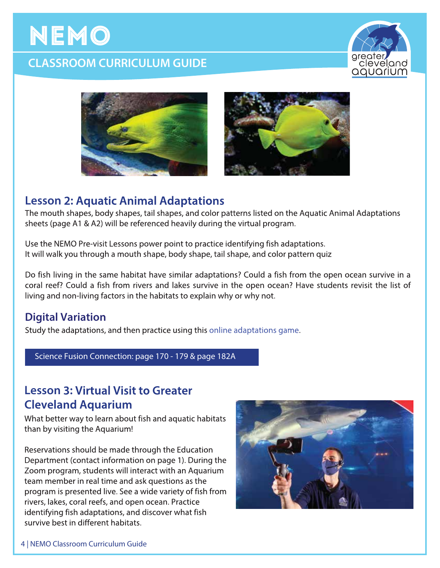# **CLASSROOM CURRICULUM GUIDE**







## **Lesson 2: Aquatic Animal Adaptations**

The mouth shapes, body shapes, tail shapes, and color patterns listed on the Aquatic Animal Adaptations sheets (page A1 & A2) will be referenced heavily during the virtual program.

Use the NEMO Pre-visit Lessons power point to practice identifying fish adaptations. It will walk you through a mouth shape, body shape, tail shape, and color pattern quiz

Do fish living in the same habitat have similar adaptations? Could a fish from the open ocean survive in a coral reef? Could a fish from rivers and lakes survive in the open ocean? Have students revisit the list of living and non-living factors in the habitats to explain why or why not.

### **Digital Variation**

Study the adaptations, and then practice using this online adaptations game.

Science Fusion Connection: page 170 - 179 & page 182A

## **Lesson 3: Virtual Visit to Greater Cleveland Aquarium**

What better way to learn about fish and aquatic habitats than by visiting the Aquarium!

Reservations should be made through the Education Department (contact information on page 1). During the Zoom program, students will interact with an Aquarium team member in real time and ask questions as the program is presented live. See a wide variety of fish from rivers, lakes, coral reefs, and open ocean. Practice identifying fish adaptations, and discover what fish survive best in different habitats.

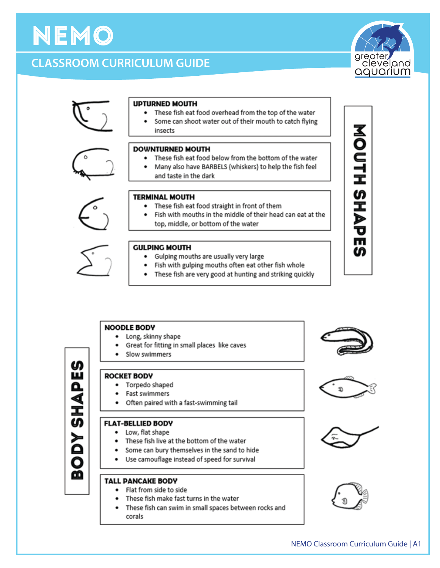#### NEMO Classroom Curriculum Guide | A1

## **UPTURNED MOUTH**  $\bullet$

**CLASSROOM CURRICULUM GUIDE** 

#### • These fish eat food overhead from the top of the water

Some can shoot water out of their mouth to catch flying insects

#### **DOWNTURNED MOUTH**

- These fish eat food below from the bottom of the water
- Many also have BARBELS (whiskers) to help the fish feel and taste in the dark

#### **TERMINAL MOUTH**

- These fish eat food straight in front of them
- Fish with mouths in the middle of their head can eat at the  $\bullet$ top, middle, or bottom of the water

#### **GULPING MOUTH**

- Gulping mouths are usually very large
- Fish with gulping mouths often eat other fish whole
- ٠ These fish are very good at hunting and striking quickly

#### **NOODLE BODY**

- Long, skinny shape ٠
- Great for fitting in small places like caves
- Slow swimmers
- 
- **ROCKET BODY** • Torpedo shaped
	- Fast swimmers
	- Often paired with a fast-swimming tail

#### **FLAT-BELLIED BODY**

- Low, flat shape
- These fish live at the bottom of the water
- Some can bury themselves in the sand to hide
- Use camouflage instead of speed for survival

#### **TALL PANCAKE BODY**

- Flat from side to side
- These fish make fast turns in the water
- These fish can swim in small spaces between rocks and corals



**NOUTH SHAP** 

m

ഗ















NEMO





- -

- 
- 
- 

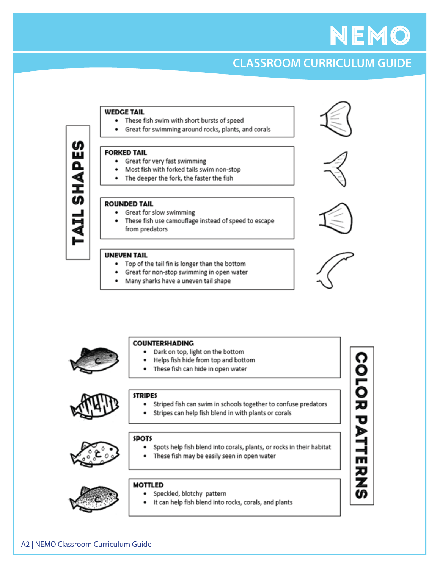# **CLASSROOM CURRICULUM GUIDE**

#### **WEDGE TAIL**

- These fish swim with short bursts of speed
- Great for swimming around rocks, plants, and corals  $\bullet$

#### **FORKED TAIL**

ഗ

ш

Δ

₫

Ι ഗ

- Great for very fast swimming  $\bullet$
- Most fish with forked tails swim non-stop
- The deeper the fork, the faster the fish  $\bullet$

#### **ROUNDED TAIL**

- Great for slow swimming  $\bullet$
- These fish use camouflage instead of speed to escape from predators

#### **UNEVEN TAIL**

- Top of the tail fin is longer than the bottom  $\bullet$
- Great for non-stop swimming in open water  $\bullet$
- Many sharks have a uneven tail shape









**COLOR PATIERN** 



#### **COUNTERSHADING**

- Dark on top, light on the bottom ٠
- Helps fish hide from top and bottom ٠
- These fish can hide in open water



#### **STRIPES**

- Striped fish can swim in schools together to confuse predators
- $\bullet$ Stripes can help fish blend in with plants or corals





- Spots help fish blend into corals, plants, or rocks in their habitat
- These fish may be easily seen in open water



#### **MOTTLED**

- · Speckled, blotchy pattern
	- It can help fish blend into rocks, corals, and plants

A2 | NEMO Classroom Curriculum Guide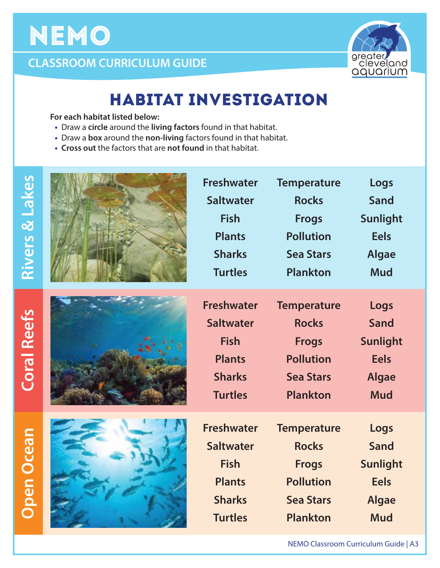

# **CLASSROOM CURRICULUM GUIDE**

# HABITAT INVESTIGATION

 **For each habitat listed below:**

- **•** Draw a **circle** around the **living factors** found in that habitat.
- **•** Draw a **box** around the **non-living** factors found in that habitat.
- **• Cross out** the factors that are **not found** in that habitat.

| <b>Rivers &amp; Lakes</b> | <b>Freshwater</b><br><b>Saltwater</b><br><b>Fish</b><br><b>Plants</b><br><b>Sharks</b><br><b>Turtles</b> | <b>Temperature</b><br><b>Rocks</b><br><b>Frogs</b><br><b>Pollution</b><br><b>Sea Stars</b><br><b>Plankton</b> | Logs<br>Sand<br><b>Sunlight</b><br><b>Eels</b><br><b>Algae</b><br><b>Mud</b> |
|---------------------------|----------------------------------------------------------------------------------------------------------|---------------------------------------------------------------------------------------------------------------|------------------------------------------------------------------------------|
| <b>Coral Reefs</b>        | <b>Freshwater</b><br><b>Saltwater</b><br><b>Fish</b><br><b>Plants</b><br><b>Sharks</b><br><b>Turtles</b> | <b>Temperature</b><br><b>Rocks</b><br><b>Frogs</b><br><b>Pollution</b><br><b>Sea Stars</b><br><b>Plankton</b> | Logs<br>Sand<br><b>Sunlight</b><br><b>Eels</b><br><b>Algae</b><br><b>Mud</b> |
| <b>Open Ocean</b>         | <b>Freshwater</b><br><b>Saltwater</b><br><b>Fish</b><br><b>Plants</b><br><b>Sharks</b><br><b>Turtles</b> | <b>Temperature</b><br><b>Rocks</b><br><b>Frogs</b><br><b>Pollution</b><br><b>Sea Stars</b><br><b>Plankton</b> | Logs<br>Sand<br><b>Sunlight</b><br><b>Eels</b><br><b>Algae</b><br><b>Mud</b> |